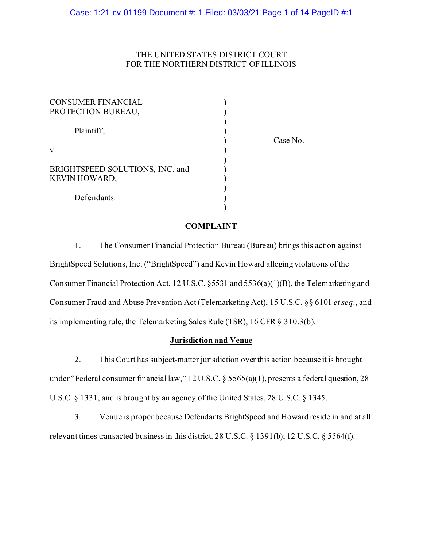# THE UNITED STATES DISTRICT COURT FOR THE NORTHERN DISTRICT OF ILLINOIS

| <b>CONSUMER FINANCIAL</b><br>PROTECTION BUREAU,         |  |
|---------------------------------------------------------|--|
| Plaintiff,                                              |  |
| $V_{\cdot}$                                             |  |
| BRIGHTSPEED SOLUTIONS, INC. and<br><b>KEVIN HOWARD,</b> |  |
| Defendants.                                             |  |

) Case No.

# **COMPLAINT**

)

1. The Consumer Financial Protection Bureau (Bureau) brings this action against BrightSpeed Solutions, Inc. ("BrightSpeed") and Kevin Howard alleging violations of the Consumer Financial Protection Act, 12 U.S.C. §5531 and 5536(a)(1)(B), the Telemarketing and Consumer Fraud and Abuse Prevention Act (Telemarketing Act), 15 U.S.C. §§ 6101 *et seq*., and its implementing rule, the Telemarketing Sales Rule (TSR), 16 CFR § 310.3(b).

### **Jurisdiction and Venue**

2. This Court has subject-matter jurisdiction over this action because it is brought under "Federal consumer financial law," 12 U.S.C. § 5565(a)(1), presents a federal question, 28 U.S.C. § 1331, and is brought by an agency of the United States, 28 U.S.C. § 1345.

3. Venue is proper because Defendants BrightSpeed and Howard reside in and at all relevant times transacted business in this district. 28 U.S.C. § 1391(b); 12 U.S.C. § 5564(f).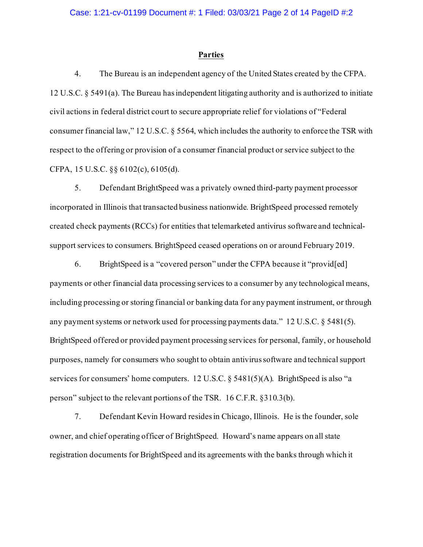#### **Parties**

4. The Bureau is an independent agency of the United States created by the CFPA. 12 U.S.C. § 5491(a). The Bureau has independent litigating authority and is authorized to initiate civil actions in federal district court to secure appropriate relief for violations of "Federal consumer financial law," 12 U.S.C. § 5564, which includes the authority to enforce the TSR with respect to the offering or provision of a consumer financial product or service subject to the CFPA, 15 U.S.C. §§ 6102(c), 6105(d).

5. Defendant BrightSpeed was a privately owned third-party payment processor incorporated in Illinois that transacted business nationwide. BrightSpeed processed remotely created check payments (RCCs) for entities that telemarketed antivirus software and technicalsupport services to consumers. BrightSpeed ceased operations on or around February 2019.

6. BrightSpeed is a "covered person" under the CFPA because it "provid[ed] payments or other financial data processing services to a consumer by any technological means, including processing or storing financial or banking data for any payment instrument, or through any payment systems or network used for processing payments data." 12 U.S.C. § 5481(5). BrightSpeed offered or provided payment processing services for personal, family, or household purposes, namely for consumers who sought to obtain antivirussoftware and technical support services for consumers' home computers. 12 U.S.C. § 5481(5)(A). BrightSpeed is also "a person" subject to the relevant portions of the TSR. 16 C.F.R. §310.3(b).

7. Defendant Kevin Howard resides in Chicago, Illinois. He is the founder, sole owner, and chief operating officer of BrightSpeed. Howard's name appears on all state registration documents for BrightSpeed and its agreements with the banks through which it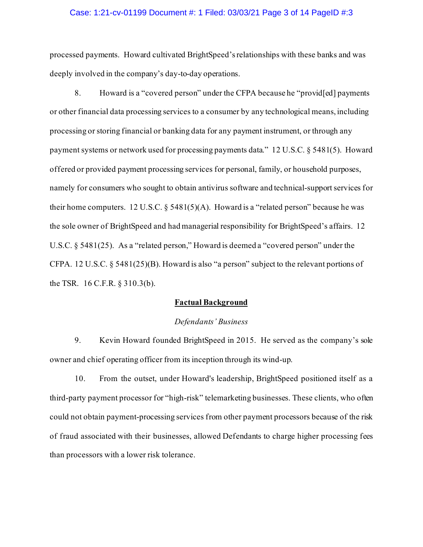### Case: 1:21-cv-01199 Document #: 1 Filed: 03/03/21 Page 3 of 14 PageID #:3

processed payments. Howard cultivated BrightSpeed's relationships with these banks and was deeply involved in the company's day-to-day operations.

8. Howard is a "covered person" under the CFPA because he "provid[ed] payments or other financial data processing services to a consumer by any technological means, including processing or storing financial or banking data for any payment instrument, or through any payment systems or network used for processing payments data." 12 U.S.C. § 5481(5). Howard offered or provided payment processing services for personal, family, or household purposes, namely for consumers who sought to obtain antivirus software and technical-support services for their home computers. 12 U.S.C.  $\S$  5481(5)(A). Howard is a "related person" because he was the sole owner of BrightSpeed and had managerial responsibility for BrightSpeed's affairs. 12 U.S.C. § 5481(25). As a "related person," Howard is deemed a "covered person" under the CFPA. 12 U.S.C. § 5481(25)(B). Howard is also "a person" subject to the relevant portions of the TSR. 16 C.F.R. § 310.3(b).

# **Factual Background**

#### *Defendants' Business*

9. Kevin Howard founded BrightSpeed in 2015. He served as the company's sole owner and chief operating officer from its inception through its wind-up.

10. From the outset, under Howard's leadership, BrightSpeed positioned itself as a third-party payment processor for "high-risk" telemarketing businesses. These clients, who often could not obtain payment-processing services from other payment processors because of the risk of fraud associated with their businesses, allowed Defendants to charge higher processing fees than processors with a lower risk tolerance.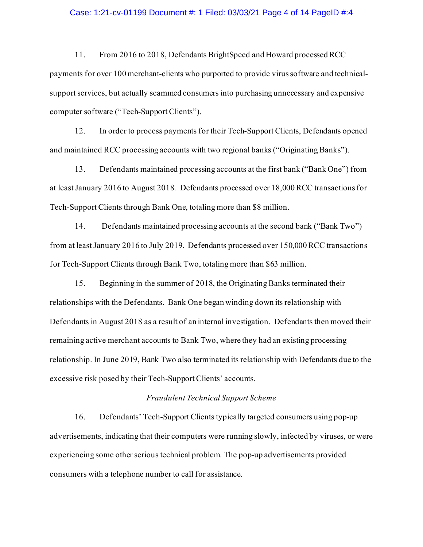#### Case: 1:21-cv-01199 Document #: 1 Filed: 03/03/21 Page 4 of 14 PageID #:4

11. From 2016 to 2018, Defendants BrightSpeed and Howard processed RCC payments for over 100 merchant-clients who purported to provide virus software and technicalsupport services, but actually scammed consumers into purchasing unnecessary and expensive computer software ("Tech-Support Clients").

12. In order to process payments for their Tech-Support Clients, Defendants opened and maintained RCC processing accounts with two regional banks ("Originating Banks").

13. Defendants maintained processing accounts at the first bank ("Bank One") from at leastJanuary 2016 to August 2018. Defendants processed over 18,000 RCC transactionsfor Tech-Support Clients through Bank One, totaling more than \$8 million.

14. Defendants maintained processing accounts at the second bank ("Bank Two") from at least January 2016 to July 2019. Defendants processed over 150,000 RCC transactions for Tech-Support Clients through Bank Two, totaling more than \$63 million.

15. Beginning in the summer of 2018, the Originating Banks terminated their relationships with the Defendants. Bank One began winding down its relationship with Defendants in August 2018 as a result of an internal investigation. Defendants then moved their remaining active merchant accounts to Bank Two, where they had an existing processing relationship. In June 2019, Bank Two also terminated its relationship with Defendants due to the excessive risk posed by their Tech-Support Clients' accounts.

### *Fraudulent Technical Support Scheme*

16. Defendants' Tech-Support Clients typically targeted consumers using pop-up advertisements, indicating that their computers were running slowly, infected by viruses, or were experiencing some other serious technical problem. The pop-up advertisements provided consumers with a telephone number to call for assistance.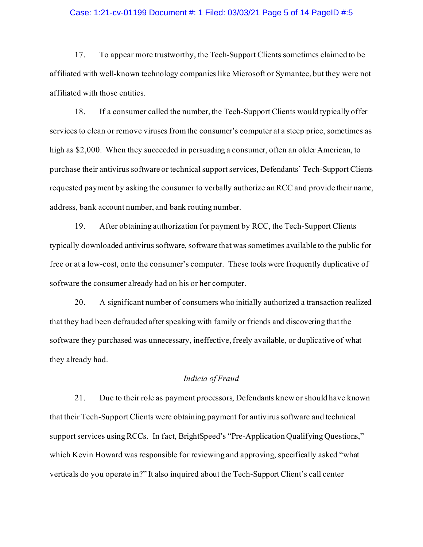### Case: 1:21-cv-01199 Document #: 1 Filed: 03/03/21 Page 5 of 14 PageID #:5

17. To appear more trustworthy, the Tech-Support Clients sometimes claimed to be affiliated with well-known technology companies like Microsoft or Symantec, but they were not affiliated with those entities.

18. If a consumer called the number, the Tech-Support Clients would typically offer services to clean or remove viruses from the consumer's computer at a steep price, sometimes as high as \$2,000. When they succeeded in persuading a consumer, often an older American, to purchase their antivirus software or technical support services, Defendants' Tech-Support Clients requested payment by asking the consumer to verbally authorize an RCC and provide their name, address, bank account number, and bank routing number.

19. After obtaining authorization for payment by RCC, the Tech-Support Clients typically downloaded antivirus software, software that was sometimes available to the public for free or at a low-cost, onto the consumer's computer. These tools were frequently duplicative of software the consumer already had on his or her computer.

20. A significant number of consumers who initially authorized a transaction realized that they had been defrauded after speaking with family or friends and discovering that the software they purchased was unnecessary, ineffective, freely available, or duplicative of what they already had.

# *Indicia of Fraud*

21. Due to their role as payment processors, Defendants knew or should have known that their Tech-Support Clients were obtaining payment for antivirussoftware and technical support services using RCCs. In fact, BrightSpeed's "Pre-Application Qualifying Questions," which Kevin Howard was responsible for reviewing and approving, specifically asked "what verticals do you operate in?" It also inquired about the Tech-Support Client's call center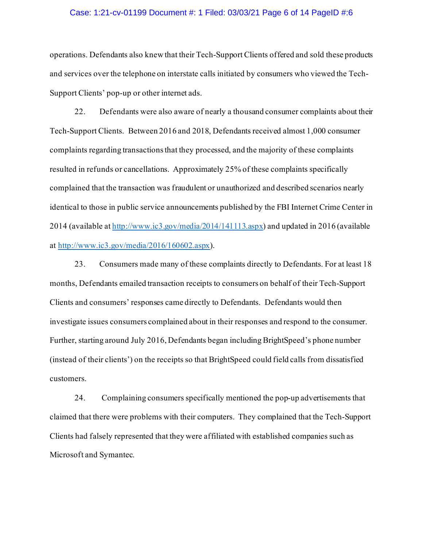#### Case: 1:21-cv-01199 Document #: 1 Filed: 03/03/21 Page 6 of 14 PageID #:6

operations. Defendants also knew that their Tech-Support Clients offered and sold these products and services over the telephone on interstate calls initiated by consumers who viewed the Tech-Support Clients' pop-up or other internet ads.

22. Defendants were also aware of nearly a thousand consumer complaints about their Tech-Support Clients. Between 2016 and 2018, Defendants received almost 1,000 consumer complaints regarding transactions that they processed, and the majority of these complaints resulted in refunds or cancellations. Approximately 25% of these complaints specifically complained that the transaction was fraudulent or unauthorized and described scenarios nearly identical to those in public service announcements published by the FBI Internet Crime Center in 2014 (available at http://www.ic3.gov/media/2014/141113.aspx) and updated in 2016 (available at http://www.ic3.gov/media/2016/160602.aspx).

23. Consumers made many of these complaints directly to Defendants. For at least 18 months, Defendants emailed transaction receipts to consumers on behalf of their Tech-Support Clients and consumers' responses came directly to Defendants. Defendants would then investigate issues consumers complained about in their responses and respond to the consumer. Further, starting around July 2016, Defendants began including BrightSpeed's phone number (instead of their clients') on the receipts so that BrightSpeed could field calls from dissatisfied customers.

24. Complaining consumers specifically mentioned the pop-up advertisements that claimed that there were problems with their computers. They complained that the Tech-Support Clients had falsely represented that they were affiliated with established companies such as Microsoft and Symantec.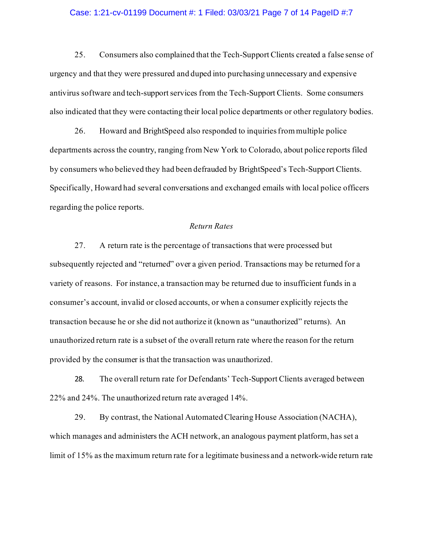### Case: 1:21-cv-01199 Document #: 1 Filed: 03/03/21 Page 7 of 14 PageID #:7

25. Consumers also complained that the Tech-Support Clients created a false sense of urgency and that they were pressured and duped into purchasing unnecessary and expensive antivirus software and tech-support services from the Tech-Support Clients. Some consumers also indicated that they were contacting their local police departments or other regulatory bodies.

26. Howard and BrightSpeed also responded to inquiries from multiple police departments across the country, ranging from New York to Colorado, about police reports filed by consumers who believed they had been defrauded by BrightSpeed's Tech-Support Clients. Specifically, Howard had several conversations and exchanged emails with local police officers regarding the police reports.

### *Return Rates*

27. A return rate is the percentage of transactions that were processed but subsequently rejected and "returned" over a given period. Transactions may be returned for a variety of reasons. For instance, a transaction may be returned due to insufficient funds in a consumer's account, invalid or closed accounts, or when a consumer explicitly rejects the transaction because he or she did not authorize it (known as "unauthorized" returns). An unauthorized return rate is a subset of the overall return rate where the reason for the return provided by the consumer is that the transaction was unauthorized.

28. The overall return rate for Defendants' Tech-Support Clients averaged between 22% and 24%. The unauthorized return rate averaged 14%.

29. By contrast, the National Automated Clearing House Association (NACHA), which manages and administers the ACH network, an analogous payment platform, has set a limit of 15% as the maximum return rate for a legitimate business and a network-wide return rate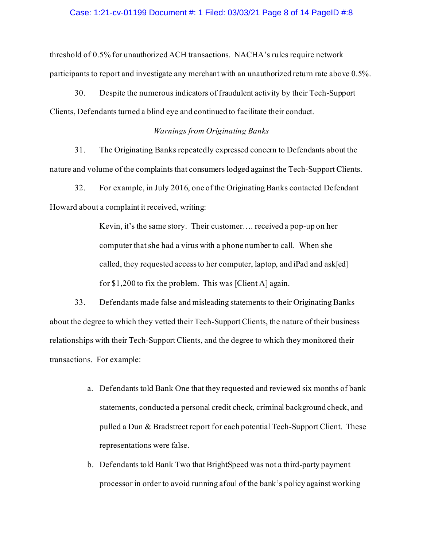### Case: 1:21-cv-01199 Document #: 1 Filed: 03/03/21 Page 8 of 14 PageID #:8

threshold of 0.5% for unauthorized ACH transactions. NACHA's rules require network participants to report and investigate any merchant with an unauthorized return rate above 0.5%.

30. Despite the numerous indicators of fraudulent activity by their Tech-Support Clients, Defendants turned a blind eye and continued to facilitate their conduct.

# *Warnings from Originating Banks*

31. The Originating Banks repeatedly expressed concern to Defendants about the nature and volume of the complaints that consumers lodged against the Tech-Support Clients.

32. For example, in July 2016, one of the Originating Banks contacted Defendant Howard about a complaint it received, writing:

> Kevin, it's the same story. Their customer…. received a pop-up on her computer that she had a virus with a phone number to call. When she called, they requested access to her computer, laptop, and iPad and ask[ed] for \$1,200 to fix the problem. This was [Client A] again.

33. Defendants made false and misleading statements to their Originating Banks about the degree to which they vetted their Tech-Support Clients, the nature of their business relationships with their Tech-Support Clients, and the degree to which they monitored their transactions. For example:

- a. Defendants told Bank One that they requested and reviewed six months of bank statements, conducted a personal credit check, criminal background check, and pulled a Dun & Bradstreet report for each potential Tech-Support Client. These representations were false.
- b. Defendants told Bank Two that BrightSpeed was not a third-party payment processor in order to avoid running afoul of the bank's policy against working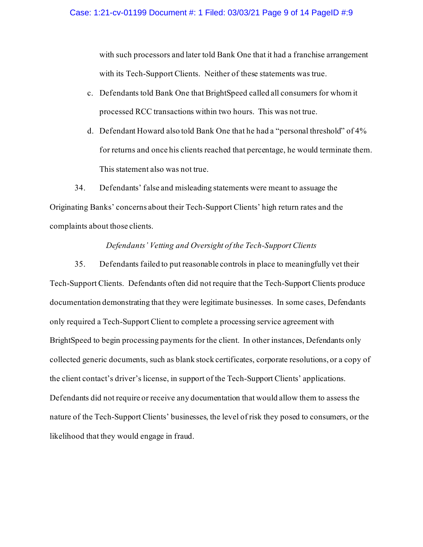with such processors and later told Bank One that it had a franchise arrangement with its Tech-Support Clients. Neither of these statements was true.

- c. Defendants told Bank One that BrightSpeed called all consumers for whom it processed RCC transactions within two hours. This was not true.
- d. Defendant Howard also told Bank One that he had a "personal threshold" of 4% for returns and once his clients reached that percentage, he would terminate them. This statement also was not true.

34. Defendants' false and misleading statements were meant to assuage the Originating Banks' concerns about their Tech-Support Clients' high return rates and the complaints about those clients.

# *Defendants' Vetting and Oversight of the Tech-Support Clients*

35. Defendants failed to put reasonable controls in place to meaningfully vet their Tech-Support Clients. Defendants often did not require that the Tech-Support Clients produce documentation demonstrating that they were legitimate businesses. In some cases, Defendants only required a Tech-Support Client to complete a processing service agreement with BrightSpeed to begin processing payments for the client. In other instances, Defendants only collected generic documents, such as blank stock certificates, corporate resolutions, or a copy of the client contact's driver's license, in support of the Tech-Support Clients' applications. Defendants did not require or receive any documentation that would allow them to assess the nature of the Tech-Support Clients' businesses, the level of risk they posed to consumers, or the likelihood that they would engage in fraud.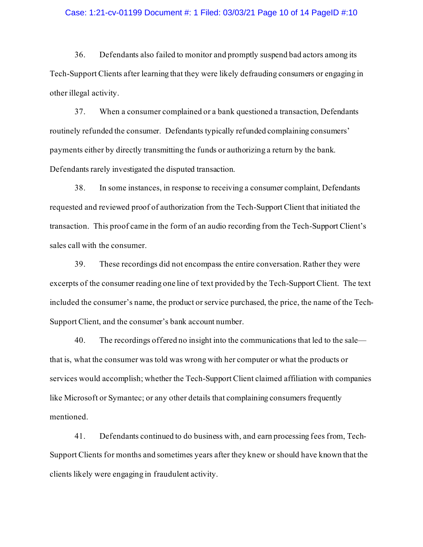#### Case: 1:21-cv-01199 Document #: 1 Filed: 03/03/21 Page 10 of 14 PageID #:10

36. Defendants also failed to monitor and promptly suspend bad actors among its Tech-Support Clients after learning that they were likely defrauding consumers or engaging in other illegal activity.

37. When a consumer complained or a bank questioned a transaction, Defendants routinely refunded the consumer. Defendants typically refunded complaining consumers' payments either by directly transmitting the funds or authorizing a return by the bank. Defendants rarely investigated the disputed transaction.

38. In some instances, in response to receiving a consumer complaint, Defendants requested and reviewed proof of authorization from the Tech-Support Client that initiated the transaction. This proof came in the form of an audio recording from the Tech-Support Client's sales call with the consumer.

39. These recordings did not encompass the entire conversation. Rather they were excerpts of the consumer reading one line of text provided by the Tech-Support Client. The text included the consumer's name, the product or service purchased, the price, the name of the Tech-Support Client, and the consumer's bank account number.

40. The recordings offered no insight into the communications that led to the sale that is, what the consumer was told was wrong with her computer or what the products or services would accomplish; whether the Tech-Support Client claimed affiliation with companies like Microsoft or Symantec; or any other details that complaining consumers frequently mentioned.

41. Defendants continued to do business with, and earn processing fees from, Tech-Support Clients for months and sometimes years after they knew or should have known that the clients likely were engaging in fraudulent activity.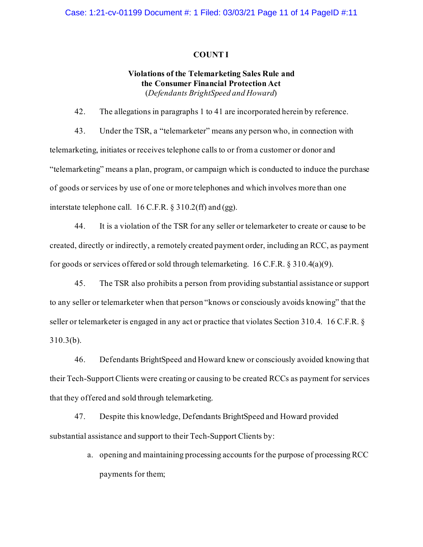### **COUNT I**

# **Violations of the Telemarketing Sales Rule and the Consumer Financial Protection Act** (*Defendants BrightSpeed and Howard*)

42. The allegations in paragraphs 1 to 41 are incorporated herein by reference.

43. Under the TSR, a "telemarketer" means any person who, in connection with telemarketing, initiates or receives telephone calls to or from a customer or donor and "telemarketing" means a plan, program, or campaign which is conducted to induce the purchase of goods or services by use of one or more telephones and which involves more than one interstate telephone call. 16 C.F.R. § 310.2(ff) and (gg).

44. It is a violation of the TSR for any seller or telemarketer to create or cause to be created, directly or indirectly, a remotely created payment order, including an RCC, as payment for goods or services offered or sold through telemarketing. 16 C.F.R. § 310.4(a)(9).

45. The TSR also prohibits a person from providing substantial assistance or support to any seller or telemarketer when that person "knows or consciously avoids knowing" that the seller or telemarketer is engaged in any act or practice that violates Section 310.4. 16 C.F.R. § 310.3(b).

46. Defendants BrightSpeed and Howard knew or consciously avoided knowing that their Tech-Support Clients were creating or causing to be created RCCs as payment for services that they offered and sold through telemarketing.

47. Despite this knowledge, Defendants BrightSpeed and Howard provided substantial assistance and support to their Tech-Support Clients by:

> a. opening and maintaining processing accounts for the purpose of processing RCC payments for them;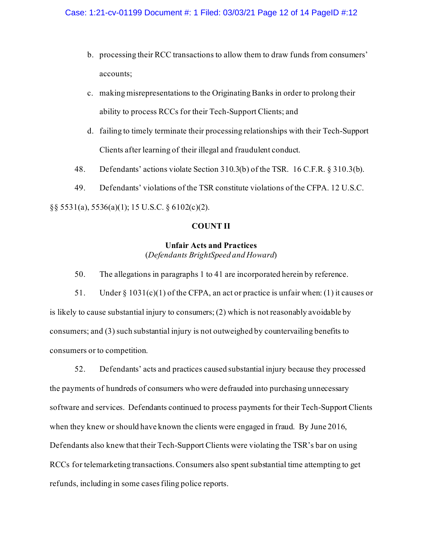- b. processing their RCC transactions to allow them to draw funds from consumers' accounts;
- c. making misrepresentations to the Originating Banks in order to prolong their ability to process RCCs for their Tech-Support Clients; and
- d. failing to timely terminate their processing relationships with their Tech-Support Clients after learning of their illegal and fraudulent conduct.
- 48. Defendants' actions violate Section 310.3(b) of the TSR. 16 C.F.R. § 310.3(b).
- 49. Defendants' violations of the TSR constitute violations of the CFPA. 12 U.S.C.

§§ 5531(a), 5536(a)(1); 15 U.S.C. § 6102(c)(2).

# **COUNT II**

# **Unfair Acts and Practices** (*Defendants BrightSpeed and Howard*)

50. The allegations in paragraphs 1 to 41 are incorporated herein by reference.

51. Under  $\S 1031(c)(1)$  of the CFPA, an act or practice is unfair when: (1) it causes or is likely to cause substantial injury to consumers; (2) which is not reasonably avoidable by consumers; and (3) such substantial injury is not outweighed by countervailing benefits to consumers or to competition.

52. Defendants' acts and practices caused substantial injury because they processed the payments of hundreds of consumers who were defrauded into purchasing unnecessary software and services. Defendants continued to process payments for their Tech-Support Clients when they knew or should have known the clients were engaged in fraud. By June 2016, Defendants also knew that their Tech-Support Clients were violating the TSR's bar on using RCCs for telemarketing transactions. Consumers also spent substantial time attempting to get refunds, including in some cases filing police reports.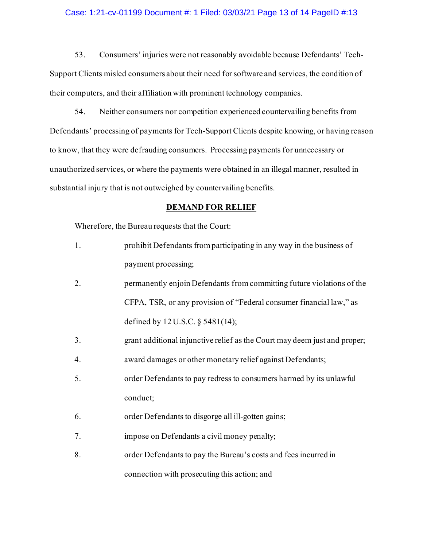### Case: 1:21-cv-01199 Document #: 1 Filed: 03/03/21 Page 13 of 14 PageID #:13

53. Consumers' injuries were not reasonably avoidable because Defendants' Tech-Support Clients misled consumers about their need for software and services, the condition of their computers, and their affiliation with prominent technology companies.

54. Neither consumers nor competition experienced countervailing benefits from Defendants' processing of payments for Tech-Support Clients despite knowing, or having reason to know, that they were defrauding consumers. Processing payments for unnecessary or unauthorized services, or where the payments were obtained in an illegal manner, resulted in substantial injury that is not outweighed by countervailing benefits.

### **DEMAND FOR RELIEF**

Wherefore, the Bureau requests that the Court:

- 1. prohibit Defendants from participating in any way in the business of payment processing;
- 2. permanently enjoin Defendants from committing future violations of the CFPA, TSR, or any provision of "Federal consumer financial law," as defined by 12 U.S.C. § 5481(14);
- 3. grant additional injunctive relief as the Court may deem just and proper;
- 4. award damages or other monetary relief against Defendants;
- 5. order Defendants to pay redress to consumers harmed by its unlawful conduct;
- 6. order Defendants to disgorge all ill-gotten gains;
- 7. impose on Defendants a civil money penalty;
- 8. order Defendants to pay the Bureau's costs and fees incurred in connection with prosecuting this action; and